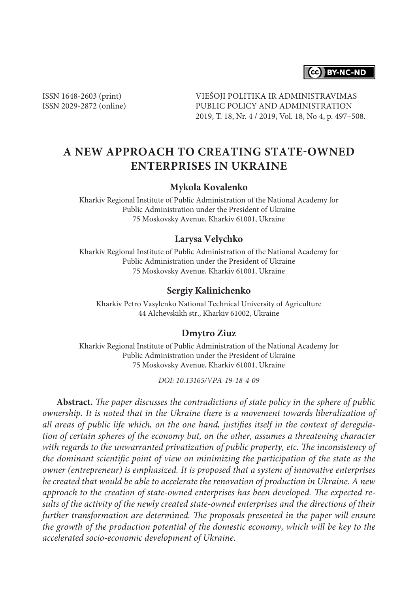# CC BY-NC-ND

ISSN 1648-2603 (print) ISSN 2029-2872 (online) VIEŠOJI POLITIKA IR ADMINISTRAVIMAS PUBLIC POLICY AND ADMINISTRATION 2019, T. 18, Nr. 4 / 2019, Vol. 18, No 4, p. 497–508.

# **A NEW APPROACH TO CREATING STATE-OWNED ENTERPRISES IN UKRAINE**

## **Mykola Kovalenko**

Kharkiv Regional Institute of Public Administration of the National Academy for Public Administration under the President of Ukraine 75 Moskovsky Avenue, Kharkiv 61001, Ukraine

## **Larysa Velychko**

Kharkiv Regional Institute of Public Administration of the National Academy for Public Administration under the President of Ukraine 75 Moskovsky Avenue, Kharkiv 61001, Ukraine

#### **Sergiy Kalinichenko**

Kharkiv Petro Vasylenko National Technical University of Agriculture 44 Alchevskikh str., Kharkiv 61002, Ukraine

#### **Dmytro Ziuz**

Kharkiv Regional Institute of Public Administration of the National Academy for Public Administration under the President of Ukraine 75 Moskovsky Avenue, Kharkiv 61001, Ukraine

*DOI: 10.13165/VPA-19-18-4-09*

**Abstract.** *The paper discusses the contradictions of state policy in the sphere of public ownership. It is noted that in the Ukraine there is a movement towards liberalization of all areas of public life which, on the one hand, justifies itself in the context of deregulation of certain spheres of the economy but, on the other, assumes a threatening character with regards to the unwarranted privatization of public property, etc. The inconsistency of the dominant scientific point of view on minimizing the participation of the state as the owner (entrepreneur) is emphasized. It is proposed that a system of innovative enterprises be created that would be able to accelerate the renovation of production in Ukraine. A new approach to the creation of state-owned enterprises has been developed. The expected results of the activity of the newly created state-owned enterprises and the directions of their further transformation are determined. The proposals presented in the paper will ensure the growth of the production potential of the domestic economy, which will be key to the accelerated socio-economic development of Ukraine.*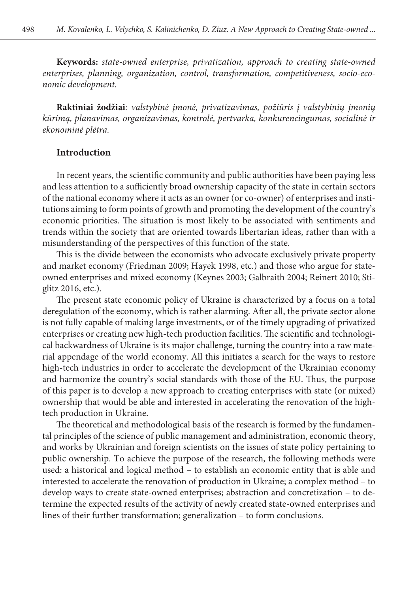**Keywords:** *state-owned enterprise, privatization, approach to creating state-owned enterprises, planning, organization, control, transformation, competitiveness, socio-economic development.*

**Raktiniai žodžiai***: valstybinė įmonė, privatizavimas, požiūris į valstybinių įmonių kūrimą, planavimas, organizavimas, kontrolė, pertvarka, konkurencingumas, socialinė ir ekonominė plėtra.*

# **Introduction**

In recent years, the scientific community and public authorities have been paying less and less attention to a sufficiently broad ownership capacity of the state in certain sectors of the national economy where it acts as an owner (or co-owner) of enterprises and institutions aiming to form points of growth and promoting the development of the country's economic priorities. The situation is most likely to be associated with sentiments and trends within the society that are oriented towards libertarian ideas, rather than with a misunderstanding of the perspectives of this function of the state.

This is the divide between the economists who advocate exclusively private property and market economy (Friedman 2009; Hayek 1998, etc.) and those who argue for stateowned enterprises and mixed economy (Keynes 2003; Galbraith 2004; Reinert 2010; Stiglitz 2016, etc.).

The present state economic policy of Ukraine is characterized by a focus on a total deregulation of the economy, which is rather alarming. After all, the private sector alone is not fully capable of making large investments, or of the timely upgrading of privatized enterprises or creating new high-tech production facilities. The scientific and technological backwardness of Ukraine is its major challenge, turning the country into a raw material appendage of the world economy. All this initiates a search for the ways to restore high-tech industries in order to accelerate the development of the Ukrainian economy and harmonize the country's social standards with those of the EU. Thus, the purpose of this paper is to develop a new approach to creating enterprises with state (or mixed) ownership that would be able and interested in accelerating the renovation of the hightech production in Ukraine.

The theoretical and methodological basis of the research is formed by the fundamental principles of the science of public management and administration, economic theory, and works by Ukrainian and foreign scientists on the issues of state policy pertaining to public ownership. To achieve the purpose of the research, the following methods were used: a historical and logical method – to establish an economic entity that is able and interested to accelerate the renovation of production in Ukraine; a complex method – to develop ways to create state-owned enterprises; abstraction and concretization – to determine the expected results of the activity of newly created state-owned enterprises and lines of their further transformation; generalization – to form conclusions.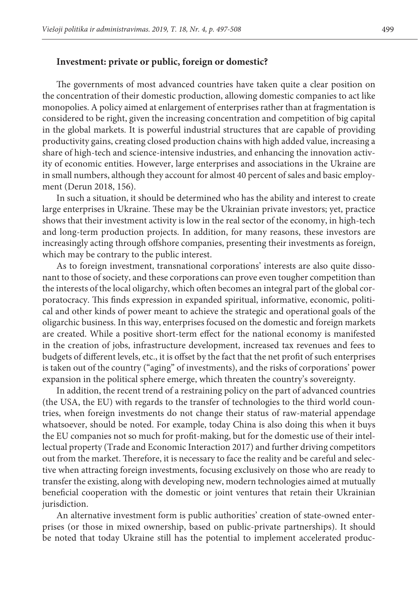## **Investment: private or public, foreign or domestic?**

The governments of most advanced countries have taken quite a clear position on the concentration of their domestic production, allowing domestic companies to act like monopolies. A policy aimed at enlargement of enterprises rather than at fragmentation is considered to be right, given the increasing concentration and competition of big capital in the global markets. It is powerful industrial structures that are capable of providing productivity gains, creating closed production chains with high added value, increasing a share of high-tech and science-intensive industries, and enhancing the innovation activity of economic entities. However, large enterprises and associations in the Ukraine are in small numbers, although they account for almost 40 percent of sales and basic employment (Derun 2018, 156).

In such a situation, it should be determined who has the ability and interest to create large enterprises in Ukraine. These may be the Ukrainian private investors; yet, practice shows that their investment activity is low in the real sector of the economy, in high-tech and long-term production projects. In addition, for many reasons, these investors are increasingly acting through offshore companies, presenting their investments as foreign, which may be contrary to the public interest.

As to foreign investment, transnational corporations' interests are also quite dissonant to those of society, and these corporations can prove even tougher competition than the interests of the local oligarchy, which often becomes an integral part of the global corporatocracy. This finds expression in expanded spiritual, informative, economic, political and other kinds of power meant to achieve the strategic and operational goals of the oligarchic business. In this way, enterprises focused on the domestic and foreign markets are created. While a positive short-term effect for the national economy is manifested in the creation of jobs, infrastructure development, increased tax revenues and fees to budgets of different levels, etc., it is offset by the fact that the net profit of such enterprises is taken out of the country ("aging" of investments), and the risks of corporations' power expansion in the political sphere emerge, which threaten the country's sovereignty.

In addition, the recent trend of a restraining policy on the part of advanced countries (the USA, the EU) with regards to the transfer of technologies to the third world countries, when foreign investments do not change their status of raw-material appendage whatsoever, should be noted. For example, today China is also doing this when it buys the EU companies not so much for profit-making, but for the domestic use of their intellectual property (Trade and Economic Interaction 2017) and further driving competitors out from the market. Therefore, it is necessary to face the reality and be careful and selective when attracting foreign investments, focusing exclusively on those who are ready to transfer the existing, along with developing new, modern technologies aimed at mutually beneficial cooperation with the domestic or joint ventures that retain their Ukrainian jurisdiction.

An alternative investment form is public authorities' creation of state-owned enterprises (or those in mixed ownership, based on public-private partnerships). It should be noted that today Ukraine still has the potential to implement accelerated produc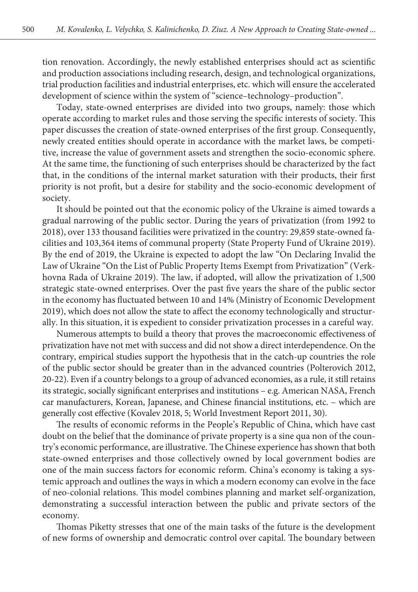500

tion renovation. Accordingly, the newly established enterprises should act as scientific and production associations including research, design, and technological organizations, trial production facilities and industrial enterprises, etc. which will ensure the accelerated development of science within the system of "science–technology–production".

Today, state-owned enterprises are divided into two groups, namely: those which operate according to market rules and those serving the specific interests of society. This paper discusses the creation of state-owned enterprises of the first group. Consequently, newly created entities should operate in accordance with the market laws, be competitive, increase the value of government assets and strengthen the socio-economic sphere. At the same time, the functioning of such enterprises should be characterized by the fact that, in the conditions of the internal market saturation with their products, their first priority is not profit, but a desire for stability and the socio-economic development of society.

It should be pointed out that the economic policy of the Ukraine is aimed towards a gradual narrowing of the public sector. During the years of privatization (from 1992 to 2018), over 133 thousand facilities were privatized in the country: 29,859 state-owned facilities and 103,364 items of communal property (State Property Fund of Ukraine 2019). By the end of 2019, the Ukraine is expected to adopt the law "On Declaring Invalid the Law of Ukraine "On the List of Public Property Items Exempt from Privatization" (Verkhovna Rada of Ukraine 2019). The law, if adopted, will allow the privatization of 1,500 strategic state-owned enterprises. Over the past five years the share of the public sector in the economy has fluctuated between 10 and 14% (Ministry of Economic Development 2019), which does not allow the state to affect the economy technologically and structurally. In this situation, it is expedient to consider privatization processes in a careful way.

Numerous attempts to build a theory that proves the macroeconomic effectiveness of privatization have not met with success and did not show a direct interdependence. On the contrary, empirical studies support the hypothesis that in the catch-up countries the role of the public sector should be greater than in the advanced countries (Polterovich 2012, 20-22). Even if a country belongs to a group of advanced economies, as a rule, it still retains its strategic, socially significant enterprises and institutions – e.g. American NASA, French car manufacturers, Korean, Japanese, and Chinese financial institutions, etc. – which are generally cost effective (Kovalev 2018, 5; World Investment Report 2011, 30).

The results of economic reforms in the People's Republic of China, which have cast doubt on the belief that the dominance of private property is a sine qua non of the country's economic performance, are illustrative. The Chinese experience has shown that both state-owned enterprises and those collectively owned by local government bodies are one of the main success factors for economic reform. China's economy is taking a systemic approach and outlines the ways in which a modern economy can evolve in the face of neo-colonial relations. This model combines planning and market self-organization, demonstrating a successful interaction between the public and private sectors of the economy.

Thomas Piketty stresses that one of the main tasks of the future is the development of new forms of ownership and democratic control over capital. The boundary between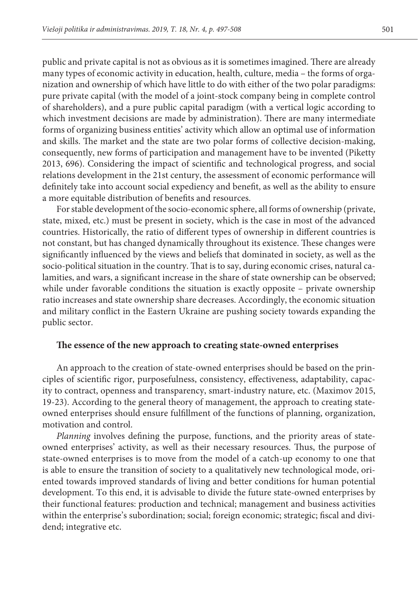public and private capital is not as obvious as it is sometimes imagined. There are already many types of economic activity in education, health, culture, media – the forms of organization and ownership of which have little to do with either of the two polar paradigms: pure private capital (with the model of a joint-stock company being in complete control of shareholders), and a pure public capital paradigm (with a vertical logic according to which investment decisions are made by administration). There are many intermediate forms of organizing business entities' activity which allow an optimal use of information and skills. The market and the state are two polar forms of collective decision-making, consequently, new forms of participation and management have to be invented (Piketty 2013, 696). Considering the impact of scientific and technological progress, and social relations development in the 21st century, the assessment of economic performance will definitely take into account social expediency and benefit, as well as the ability to ensure a more equitable distribution of benefits and resources.

For stable development of the socio-economic sphere, all forms of ownership (private, state, mixed, etc.) must be present in society, which is the case in most of the advanced countries. Historically, the ratio of different types of ownership in different countries is not constant, but has changed dynamically throughout its existence. These changes were significantly influenced by the views and beliefs that dominated in society, as well as the socio-political situation in the country. That is to say, during economic crises, natural calamities, and wars, a significant increase in the share of state ownership can be observed; while under favorable conditions the situation is exactly opposite – private ownership ratio increases and state ownership share decreases. Accordingly, the economic situation and military conflict in the Eastern Ukraine are pushing society towards expanding the public sector.

## **The essence of the new approach to creating state-owned enterprises**

An approach to the creation of state-owned enterprises should be based on the principles of scientific rigor, purposefulness, consistency, effectiveness, adaptability, capacity to contract, openness and transparency, smart-industry nature, etc. (Maximov 2015, 19-23). According to the general theory of management, the approach to creating stateowned enterprises should ensure fulfillment of the functions of planning, organization, motivation and control.

*Planning* involves defining the purpose, functions, and the priority areas of stateowned enterprises' activity, as well as their necessary resources. Thus, the purpose of state-owned enterprises is to move from the model of a catch-up economy to one that is able to ensure the transition of society to a qualitatively new technological mode, oriented towards improved standards of living and better conditions for human potential development. To this end, it is advisable to divide the future state-owned enterprises by their functional features: production and technical; management and business activities within the enterprise's subordination; social; foreign economic; strategic; fiscal and dividend; integrative etc.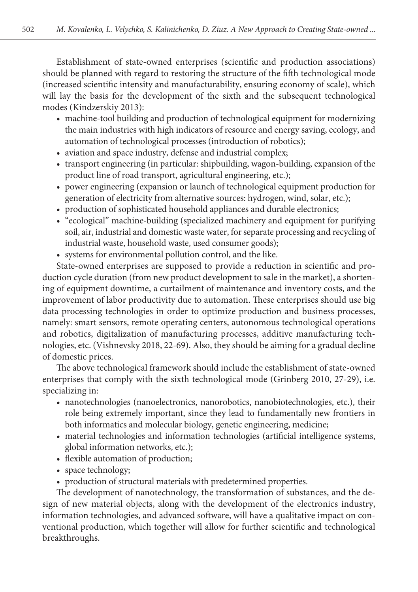Establishment of state-owned enterprises (scientific and production associations) should be planned with regard to restoring the structure of the fifth technological mode (increased scientific intensity and manufacturability, ensuring economy of scale), which will lay the basis for the development of the sixth and the subsequent technological modes (Kindzerskiy 2013):

- machine-tool building and production of technological equipment for modernizing the main industries with high indicators of resource and energy saving, ecology, and automation of technological processes (introduction of robotics);
- aviation and space industry, defense and industrial complex;
- transport engineering (in particular: shipbuilding, wagon-building, expansion of the product line of road transport, agricultural engineering, etc.);
- power engineering (expansion or launch of technological equipment production for generation of electricity from alternative sources: hydrogen, wind, solar, etc.);
- production of sophisticated household appliances and durable electronics;
- "ecological" machine-building (specialized machinery and equipment for purifying soil, air, industrial and domestic waste water, for separate processing and recycling of industrial waste, household waste, used consumer goods);
- systems for environmental pollution control, and the like.

State-owned enterprises are supposed to provide a reduction in scientific and production cycle duration (from new product development to sale in the market), a shortening of equipment downtime, a curtailment of maintenance and inventory costs, and the improvement of labor productivity due to automation. These enterprises should use big data processing technologies in order to optimize production and business processes, namely: smart sensors, remote operating centers, autonomous technological operations and robotics, digitalization of manufacturing processes, additive manufacturing technologies, etc. (Vishnevsky 2018, 22-69). Also, they should be aiming for a gradual decline of domestic prices.

The above technological framework should include the establishment of state-owned enterprises that comply with the sixth technological mode (Grinberg 2010, 27-29), i.e. specializing in:

- nanotechnologies (nanoelectronics, nanorobotics, nanobiotechnologies, etc.), their role being extremely important, since they lead to fundamentally new frontiers in both informatics and molecular biology, genetic engineering, medicine;
- material technologies and information technologies (artificial intelligence systems, global information networks, etc.);
- flexible automation of production;
- space technology;
- production of structural materials with predetermined properties.

The development of nanotechnology, the transformation of substances, and the design of new material objects, along with the development of the electronics industry, information technologies, and advanced software, will have a qualitative impact on conventional production, which together will allow for further scientific and technological breakthroughs.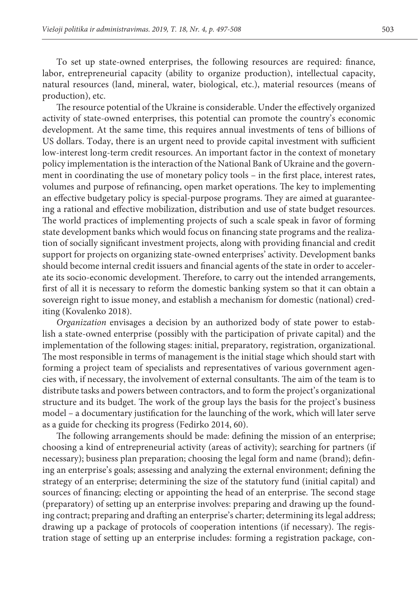To set up state-owned enterprises, the following resources are required: finance, labor, entrepreneurial capacity (ability to organize production), intellectual capacity, natural resources (land, mineral, water, biological, etc.), material resources (means of production), etc.

The resource potential of the Ukraine is considerable. Under the effectively organized activity of state-owned enterprises, this potential can promote the country's economic development. At the same time, this requires annual investments of tens of billions of US dollars. Today, there is an urgent need to provide capital investment with sufficient low-interest long-term credit resources. An important factor in the context of monetary policy implementation is the interaction of the National Bank of Ukraine and the government in coordinating the use of monetary policy tools – in the first place, interest rates, volumes and purpose of refinancing, open market operations. The key to implementing an effective budgetary policy is special-purpose programs. They are aimed at guaranteeing a rational and effective mobilization, distribution and use of state budget resources. The world practices of implementing projects of such a scale speak in favor of forming state development banks which would focus on financing state programs and the realization of socially significant investment projects, along with providing financial and credit support for projects on organizing state-owned enterprises' activity. Development banks should become internal credit issuers and financial agents of the state in order to accelerate its socio-economic development. Therefore, to carry out the intended arrangements, first of all it is necessary to reform the domestic banking system so that it can obtain a sovereign right to issue money, and establish a mechanism for domestic (national) crediting (Kovalenko 2018).

*Organization* envisages a decision by an authorized body of state power to establish a state-owned enterprise (possibly with the participation of private capital) and the implementation of the following stages: initial, preparatory, registration, organizational. The most responsible in terms of management is the initial stage which should start with forming a project team of specialists and representatives of various government agencies with, if necessary, the involvement of external consultants. The aim of the team is to distribute tasks and powers between contractors, and to form the project's organizational structure and its budget. The work of the group lays the basis for the project's business model – a documentary justification for the launching of the work, which will later serve as a guide for checking its progress (Fedirko 2014, 60).

The following arrangements should be made: defining the mission of an enterprise; choosing a kind of entrepreneurial activity (areas of activity); searching for partners (if necessary); business plan preparation; choosing the legal form and name (brand); defining an enterprise's goals; assessing and analyzing the external environment; defining the strategy of an enterprise; determining the size of the statutory fund (initial capital) and sources of financing; electing or appointing the head of an enterprise. The second stage (preparatory) of setting up an enterprise involves: preparing and drawing up the founding contract; preparing and drafting an enterprise's charter; determining its legal address; drawing up a package of protocols of cooperation intentions (if necessary). The registration stage of setting up an enterprise includes: forming a registration package, con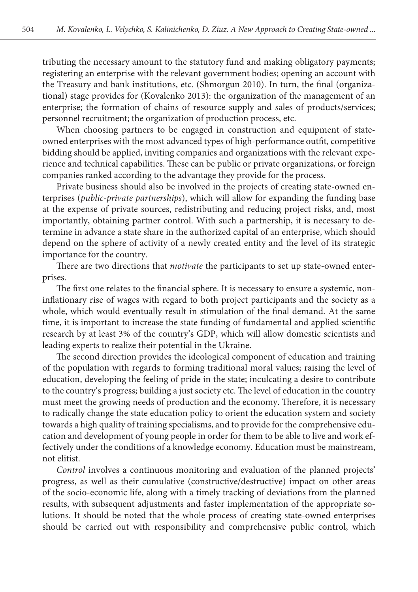tributing the necessary amount to the statutory fund and making obligatory payments; registering an enterprise with the relevant government bodies; opening an account with the Treasury and bank institutions, etc. (Shmorgun 2010). In turn, the final (organizational) stage provides for (Kovalenko 2013): the organization of the management of an enterprise; the formation of chains of resource supply and sales of products/services; personnel recruitment; the organization of production process, etc.

When choosing partners to be engaged in construction and equipment of stateowned enterprises with the most advanced types of high-performance outfit, competitive bidding should be applied, inviting companies and organizations with the relevant experience and technical capabilities. These can be public or private organizations, or foreign companies ranked according to the advantage they provide for the process.

Private business should also be involved in the projects of creating state-owned enterprises (*public-private partnerships*), which will allow for expanding the funding base at the expense of private sources, redistributing and reducing project risks, and, most importantly, obtaining partner control. With such a partnership, it is necessary to determine in advance a state share in the authorized capital of an enterprise, which should depend on the sphere of activity of a newly created entity and the level of its strategic importance for the country.

There are two directions that *motivate* the participants to set up state-owned enterprises.

The first one relates to the financial sphere. It is necessary to ensure a systemic, noninflationary rise of wages with regard to both project participants and the society as a whole, which would eventually result in stimulation of the final demand. At the same time, it is important to increase the state funding of fundamental and applied scientific research by at least 3% of the country's GDP, which will allow domestic scientists and leading experts to realize their potential in the Ukraine.

The second direction provides the ideological component of education and training of the population with regards to forming traditional moral values; raising the level of education, developing the feeling of pride in the state; inculcating a desire to contribute to the country's progress; building a just society etc. The level of education in the country must meet the growing needs of production and the economy. Therefore, it is necessary to radically change the state education policy to orient the education system and society towards a high quality of training specialisms, and to provide for the comprehensive education and development of young people in order for them to be able to live and work effectively under the conditions of a knowledge economy. Education must be mainstream, not elitist.

*Control* involves a continuous monitoring and evaluation of the planned projects' progress, as well as their cumulative (constructive/destructive) impact on other areas of the socio-economic life, along with a timely tracking of deviations from the planned results, with subsequent adjustments and faster implementation of the appropriate solutions. It should be noted that the whole process of creating state-owned enterprises should be carried out with responsibility and comprehensive public control, which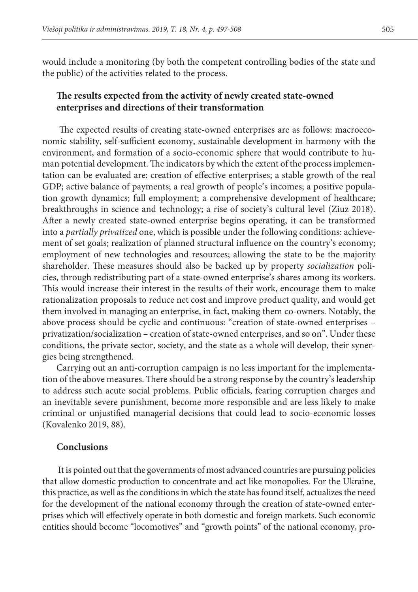would include a monitoring (by both the competent controlling bodies of the state and the public) of the activities related to the process.

# **The results expected from the activity of newly created state-owned enterprises and directions of their transformation**

 The expected results of creating state-owned enterprises are as follows: macroeconomic stability, self-sufficient economy, sustainable development in harmony with the environment, and formation of a socio-economic sphere that would contribute to human potential development. The indicators by which the extent of the process implementation can be evaluated are: creation of effective enterprises; a stable growth of the real GDP; active balance of payments; a real growth of people's incomes; a positive population growth dynamics; full employment; a comprehensive development of healthcare; breakthroughs in science and technology; a rise of society's cultural level (Ziuz 2018). After a newly created state-owned enterprise begins operating, it can be transformed into a *partially privatized* one, which is possible under the following conditions: achievement of set goals; realization of planned structural influence on the country's economy; employment of new technologies and resources; allowing the state to be the majority shareholder. These measures should also be backed up by property *socialization* policies, through redistributing part of a state-owned enterprise's shares among its workers. This would increase their interest in the results of their work, encourage them to make rationalization proposals to reduce net cost and improve product quality, and would get them involved in managing an enterprise, in fact, making them co-owners. Notably, the above process should be cyclic and continuous: "creation of state-owned enterprises – privatization/socialization – creation of state-owned enterprises, and so on". Under these conditions, the private sector, society, and the state as a whole will develop, their synergies being strengthened.

Carrying out an anti-corruption campaign is no less important for the implementation of the above measures. There should be a strong response by the country's leadership to address such acute social problems. Public officials, fearing corruption charges and an inevitable severe punishment, become more responsible and are less likely to make criminal or unjustified managerial decisions that could lead to socio-economic losses (Kovalenko 2019, 88).

## **Conclusions**

It is pointed out that the governments of most advanced countries are pursuing policies that allow domestic production to concentrate and act like monopolies. For the Ukraine, this practice, as well as the conditions in which the state has found itself, actualizes the need for the development of the national economy through the creation of state-owned enterprises which will effectively operate in both domestic and foreign markets. Such economic entities should become "locomotives" and "growth points" of the national economy, pro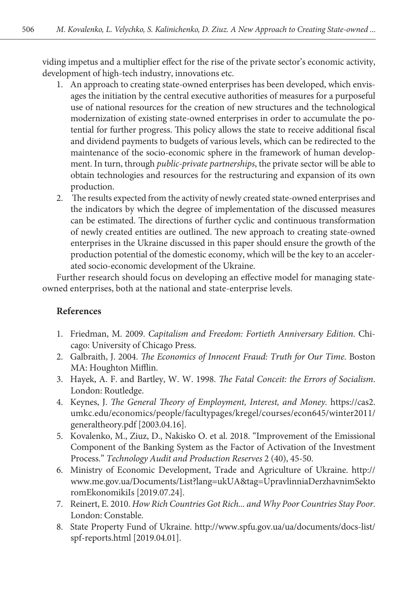viding impetus and a multiplier effect for the rise of the private sector's economic activity, development of high-tech industry, innovations etc.

- 1. An approach to creating state-owned enterprises has been developed, which envisages the initiation by the central executive authorities of measures for a purposeful use of national resources for the creation of new structures and the technological modernization of existing state-owned enterprises in order to accumulate the potential for further progress. This policy allows the state to receive additional fiscal and dividend payments to budgets of various levels, which can be redirected to the maintenance of the socio-economic sphere in the framework of human development. In turn, through *public-private partnerships*, the private sector will be able to obtain technologies and resources for the restructuring and expansion of its own production.
- 2. The results expected from the activity of newly created state-owned enterprises and the indicators by which the degree of implementation of the discussed measures can be estimated. The directions of further cyclic and continuous transformation of newly created entities are outlined. The new approach to creating state-owned enterprises in the Ukraine discussed in this paper should ensure the growth of the production potential of the domestic economy, which will be the key to an accelerated socio-economic development of the Ukraine.

Further research should focus on developing an effective model for managing stateowned enterprises, both at the national and state-enterprise levels.

# **References**

- 1. Friedman, M. 2009. *Capitalism and Freedom: Fortieth Anniversary Edition*. Chicago: University of Chicago Press.
- 2. Galbraith, J. 2004. *The Economics of Innocent Fraud: Truth for Our Time*. Boston MA: Houghton Mifflin.
- 3. Hayek, A. F. and Bartley, W. W. 1998. *The Fatal Conceit: the Errors of Socialism*. London: Routledge.
- 4. Keynes, J. *The General Theory of Employment, Interest, and Money.* [https://cas2.](https://cas2.umkc.edu/economics/people/facultypages/kregel/courses/econ645/winter2011/generaltheory.pdf) [umkc.edu/economics/people/facultypages/kregel/courses/econ645/winter2011/](https://cas2.umkc.edu/economics/people/facultypages/kregel/courses/econ645/winter2011/generaltheory.pdf) [generaltheory.pdf](https://cas2.umkc.edu/economics/people/facultypages/kregel/courses/econ645/winter2011/generaltheory.pdf) [2003.04.16].
- 5. Kovalenko, M., Ziuz, D., Nakisko O. et al. 2018. "Improvement of the Emissional Component of the Banking System as the Factor of Activation of the Investment Process." *Technology Audit and Production Reserves* 2 (40), 45-50.
- 6. Ministry of Economic Development, Trade and Agriculture of Ukraine. [http://](http://www.me.gov.ua/Documents/List?lang=ukUA&tag=UpravlinniaDerzhavnimSektoromEkonomikiIs) [www.me.gov.ua/Documents/List?lang=ukUA&tag=UpravlinniaDerzhavnimSekto](http://www.me.gov.ua/Documents/List?lang=ukUA&tag=UpravlinniaDerzhavnimSektoromEkonomikiIs) [romEkonomikiIs](http://www.me.gov.ua/Documents/List?lang=ukUA&tag=UpravlinniaDerzhavnimSektoromEkonomikiIs) [2019.07.24].
- 7. Reinert, E. 2010. *How Rich Countries Got Rich... and Why Poor Countries Stay Poor*. London: Constable.
- 8. State Property Fund of Ukraine. [http://www.spfu.gov.ua/ua/documents/docs-list/](http://www.spfu.gov.ua/ua/documents/docs-list/spf-reports.html) [spf-reports.html](http://www.spfu.gov.ua/ua/documents/docs-list/spf-reports.html) [2019.04.01].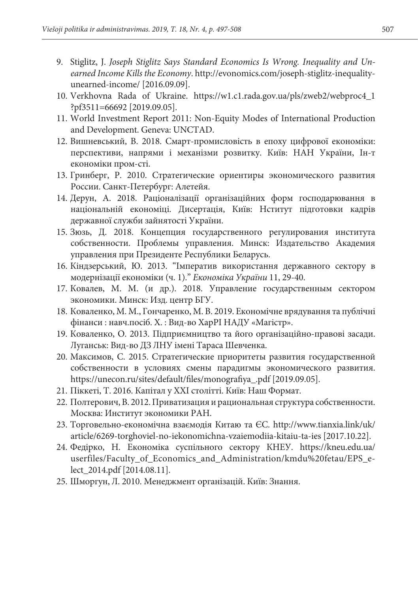- 9. Stiglitz, J. *Joseph Stiglitz Says Standard Economics Is Wrong. Inequality and Unearned Income Kills the Economy*. [http://evonomics.com/joseph-stiglitz-inequality](http://evonomics.com/joseph-stiglitz-inequality-unearned-income/)[unearned-income/](http://evonomics.com/joseph-stiglitz-inequality-unearned-income/) [2016.09.09].
- 10. Verkhovna Rada of Ukraine. [https://w1.c1.rada.gov.ua/pls/zweb2/webproc4\\_1](https://w1.c1.rada.gov.ua/pls/zweb2/webproc4_1?pf3511=66692) [?pf3511=66692](https://w1.c1.rada.gov.ua/pls/zweb2/webproc4_1?pf3511=66692) [2019.09.05].
- 11. World Investment Report 2011: Non-Equity Modes of International Production and Development. Geneva: UNCTAD.
- 12. Вишневський, В. 2018. Смарт-промисловість в епоху цифрової економіки: перспективи, напрями і механізми розвитку. Київ: НАН України, Ін-т економіки пром-сті.
- 13. Гринберг, Р. 2010. Стратегические ориентиры экономического развития России. Санкт-Петербург: Алетейя.
- 14. Дерун, А. 2018. Раціоналізації організаційних форм господарювання в національній економіці. Дисертація, Київ: Нститут підготовки кадрів державної служби зайнятості України.
- 15. Зюзь, Д. 2018. Концепция государственного регулирования института собственности. Проблемы управления. Минск: Издательство Академия управления при Президенте Республики Беларусь.
- 16. Кіндзерський, Ю. 2013. "Імператив використання державного сектору в модернізації економіки (ч. 1)." *Економіка України* 11, 29-40.
- 17. Ковалев, М. М. (и др.). 2018. Управление государственным сектором экономики. Минск: Изд. центр БГУ.
- 18. Коваленко, М. М., Гончаренко, М. В. 2019. Економічне врядування та публічні фінанси : навч.посіб. Х. : Вид-во ХарРІ НАДУ «Магістр».
- 19. Коваленко, О. 2013. Підприємництво та його організаційно-правові засади. Луганськ: Вид-во ДЗ ЛНУ імені Тараса Шевченка.
- 20. Максимов, С. 2015. Стратегические приоритеты развития государственной собственности в условиях смены парадигмы экономического развития. [https://unecon.ru/sites/default/files/monografiya\\_.pdf](https://unecon.ru/sites/default/files/monografiya_.pdf) [2019.09.05].
- 21. Піккеті, Т. 2016. Капітал у XXI столітті. Київ: Наш Формат.
- 22. Полтерович, В. 2012. Приватизация и рациональная структура собственности. Москва: Институт экономики РАН.
- 23. Торговельно-економічна взаємодія Китаю та ЄС. [http://www.tianxia.link/uk/](http://www.tianxia.link/uk/article/6269-torghoviel-no-iekonomichna-vzaiemodiia-kitaiu-ta-ies) [article/6269-torghoviel-no-iekonomichna-vzaiemodiia-kitaiu-ta-ies](http://www.tianxia.link/uk/article/6269-torghoviel-no-iekonomichna-vzaiemodiia-kitaiu-ta-ies) [2017.10.22].
- 24. Федірко, Н. Економіка суспільного сектору КНЕУ. [https://kneu.edu.ua/](https://kneu.edu.ua/userfiles/Faculty_of_Economics_and_Administration/kmdu fetau/EPS_e-lect_2014.pdf) [userfiles/Faculty\\_of\\_Economics\\_and\\_Administration/kmdu%20fetau/EPS\\_e](https://kneu.edu.ua/userfiles/Faculty_of_Economics_and_Administration/kmdu fetau/EPS_e-lect_2014.pdf)[lect\\_2014.pdf](https://kneu.edu.ua/userfiles/Faculty_of_Economics_and_Administration/kmdu fetau/EPS_e-lect_2014.pdf) [2014.08.11].
- 25. Шморгун, Л. 2010. Менеджмент організацій. Київ: Знання.